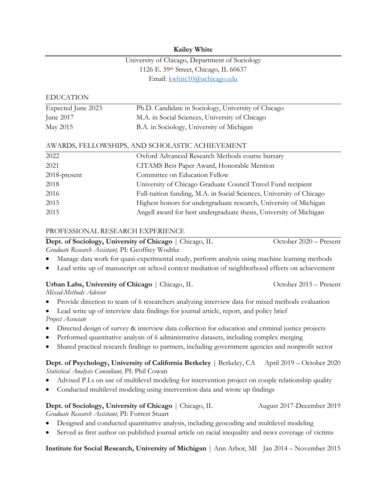#### **Kailey White**

# University of Chicago, Department of Sociology 1126 E. 59th Street, Chicago, IL 60637 Email: kwhite10@uchicago.edu

#### EDUCATION

| Expected June 2023 | Ph.D. Candidate in Sociology, University of Chicago |
|--------------------|-----------------------------------------------------|
| June $2017$        | M.A. in Social Sciences, University of Chicago      |
| May 2015           | B.A. in Sociology, University of Michigan           |

#### AWARDS, FELLOWSHIPS, AND SCHOLASTIC ACHIEVEMENT

| 2022         | Oxford Advanced Research Methods course bursary                      |
|--------------|----------------------------------------------------------------------|
| 2021         | CITAMS Best Paper Award, Honorable Mention                           |
| 2018-present | Committee on Education Fellow                                        |
| 2018         | University of Chicago Graduate Council Travel Fund recipient         |
| 2016         | Full-tuition funding, M.A. in Social Sciences, University of Chicago |
| 2015         | Highest honors for undergraduate research, University of Michigan    |
| 2015         | Angell award for best undergraduate thesis, University of Michigan   |

#### PROFESSIONAL RESEARCH EXPERIENCE

**Dept. of Sociology, University of Chicago** | Chicago, IL October 2020 – Present *Graduate Research Assistant,* PI: Geoffrey Wodtke

- Manage data work for quasi-experimental study, perform analysis using machine learning methods
- Lead write up of manuscript on school context mediation of neighborhood effects on achievement

## **Urban Labs, University of Chicago** | Chicago, IL October 2015 – Present

*Mixed-Methods Advisor*

- Provide direction to team of 6 researchers analyzing interview data for mixed methods evaluation
- Lead write up of interview data findings for journal article, report, and policy brief *Project Associate*
- Directed design of survey & interview data collection for education and criminal justice projects
- Performed quantitative analysis of 6 administrative datasets, including complex merging
- Shared practical research findings to partners, including government agencies and nonprofit sector

## **Dept. of Psychology, University of California Berkeley** | Berkeley, CA April 2019 – October 2020 *Statistical Analysis Consultant,* PI: Phil Cowan

- Advised P.I.s on use of multilevel modeling for intervention project on couple relationship quality
- Conducted multilevel modeling using intervention data and wrote up findings

# **Dept. of Sociology, University of Chicago** | Chicago, IL August 2017-December 2019

*Graduate Research Assistant,* PI: Forrest Stuart

- Designed and conducted quantitative analysis, including geocoding and multilevel modeling
- Served as first author on published journal article on racial inequality and news coverage of victims

**Institute for Social Research, University of Michigan** | Ann Arbor, MI Jan 2014 – November 2015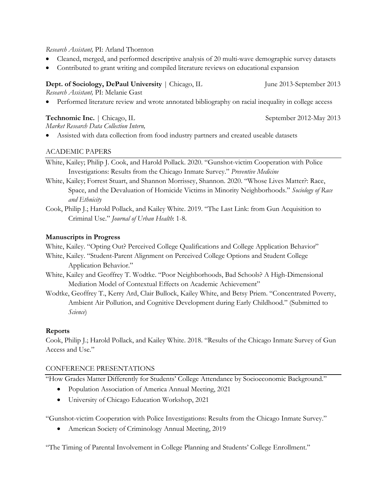#### *Research Assistant,* PI: Arland Thornton

- Cleaned, merged, and performed descriptive analysis of 20 multi-wave demographic survey datasets
- Contributed to grant writing and compiled literature reviews on educational expansion

# **Dept. of Sociology, DePaul University** | Chicago, IL June 2013-September 2013

*Research Assistant,* PI: Melanie Gast

• Performed literature review and wrote annotated bibliography on racial inequality in college access

## **Technomic Inc.** | Chicago, IL September 2012-May 2013

*Market Research Data Collection Intern,* 

• Assisted with data collection from food industry partners and created useable datasets

## ACADEMIC PAPERS

White, Kailey; Philip J. Cook, and Harold Pollack. 2020. "Gunshot-victim Cooperation with Police Investigations: Results from the Chicago Inmate Survey." *Preventive Medicine*

- White, Kailey; Forrest Stuart, and Shannon Morrissey, Shannon. 2020. "Whose Lives Matter?: Race, Space, and the Devaluation of Homicide Victims in Minority Neighborhoods." *Sociology of Race and Ethnicity*
- Cook, Philip J.; Harold Pollack, and Kailey White. 2019. "The Last Link: from Gun Acquisition to Criminal Use." *Journal of Urban Health*: 1-8.

## **Manuscripts in Progress**

White, Kailey. "Opting Out? Perceived College Qualifications and College Application Behavior"

White, Kailey. "Student-Parent Alignment on Perceived College Options and Student College Application Behavior."

White, Kailey and Geoffrey T. Wodtke. "Poor Neighborhoods, Bad Schools? A High-Dimensional Mediation Model of Contextual Effects on Academic Achievement"

Wodtke, Geoffrey T., Kerry Ard, Clair Bullock, Kailey White, and Betsy Priem. "Concentrated Poverty, Ambient Air Pollution, and Cognitive Development during Early Childhood." (Submitted to *Science*)

# **Reports**

Cook, Philip J.; Harold Pollack, and Kailey White. 2018. "Results of the Chicago Inmate Survey of Gun Access and Use."

## CONFERENCE PRESENTATIONS

"How Grades Matter Differently for Students' College Attendance by Socioeconomic Background."

- Population Association of America Annual Meeting, 2021
- University of Chicago Education Workshop, 2021

"Gunshot-victim Cooperation with Police Investigations: Results from the Chicago Inmate Survey."

• American Society of Criminology Annual Meeting, 2019

"The Timing of Parental Involvement in College Planning and Students' College Enrollment."